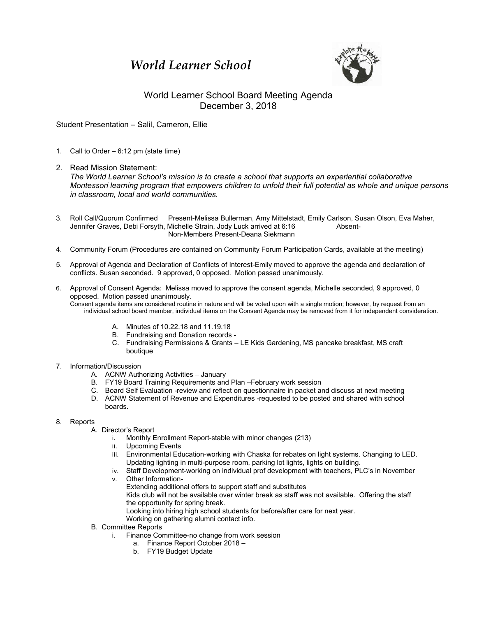## *World Learner School*



## World Learner School Board Meeting Agenda December 3, 2018

Student Presentation – Salil, Cameron, Ellie

- 1. Call to Order 6:12 pm (state time)
- 2. Read Mission Statement:

*The World Learner School's mission is to create a school that supports an experiential collaborative Montessori learning program that empowers children to unfold their full potential as whole and unique persons in classroom, local and world communities.*

- 3. Roll Call/Quorum Confirmed Present-Melissa Bullerman, Amy Mittelstadt, Emily Carlson, Susan Olson, Eva Maher, Jennifer Graves, Debi Forsyth, Michelle Strain, Jody Luck arrived at 6:16 Absent-Non-Members Present-Deana Siekmann
- 4. Community Forum (Procedures are contained on Community Forum Participation Cards, available at the meeting)
- 5. Approval of Agenda and Declaration of Conflicts of Interest-Emily moved to approve the agenda and declaration of conflicts. Susan seconded. 9 approved, 0 opposed. Motion passed unanimously.
- 6. Approval of Consent Agenda: Melissa moved to approve the consent agenda, Michelle seconded, 9 approved, 0 opposed. Motion passed unanimously. Consent agenda items are considered routine in nature and will be voted upon with a single motion; however, by request from an individual school board member, individual items on the Consent Agenda may be removed from it for independent consideration.
	- A. Minutes of 10.22.18 and 11.19.18
	- B. Fundraising and Donation records -
	- C. Fundraising Permissions & Grants LE Kids Gardening, MS pancake breakfast, MS craft boutique
- 7. Information/Discussion
	- A. ACNW Authorizing Activities January
	- B. FY19 Board Training Requirements and Plan –February work session
	- C. Board Self Evaluation -review and reflect on questionnaire in packet and discuss at next meeting D. ACNW Statement of Revenue and Expenditures -requested to be posted and shared with school
	- boards.

## 8. Reports

- A. Director's Report
	- i. Monthly Enrollment Report-stable with minor changes (213)
	- ii. Upcoming Events
	- iii. Environmental Education-working with Chaska for rebates on light systems. Changing to LED. Updating lighting in multi-purpose room, parking lot lights, lights on building.
	- iv. Staff Development-working on individual prof development with teachers, PLC's in November
	- v. Other Information-
		- Extending additional offers to support staff and substitutes
			- Kids club will not be available over winter break as staff was not available. Offering the staff the opportunity for spring break.

Looking into hiring high school students for before/after care for next year.

- Working on gathering alumni contact info.
- B. Committee Reports
	- i. Finance Committee-no change from work session
		- a. Finance Report October 2018 –
		- b. FY19 Budget Update